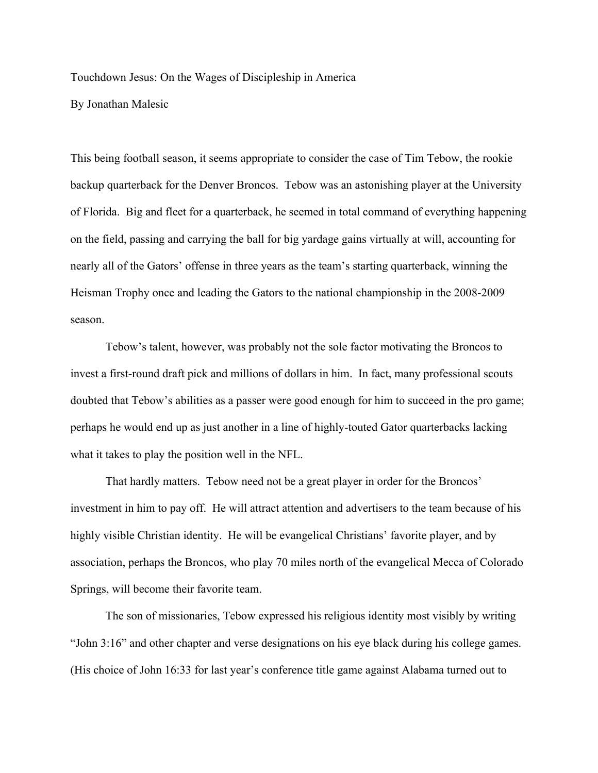Touchdown Jesus: On the Wages of Discipleship in America

By Jonathan Malesic

This being football season, it seems appropriate to consider the case of Tim Tebow, the rookie backup quarterback for the Denver Broncos. Tebow was an astonishing player at the University of Florida. Big and fleet for a quarterback, he seemed in total command of everything happening on the field, passing and carrying the ball for big yardage gains virtually at will, accounting for nearly all of the Gators' offense in three years as the team's starting quarterback, winning the Heisman Trophy once and leading the Gators to the national championship in the 2008-2009 season.

Tebow's talent, however, was probably not the sole factor motivating the Broncos to invest a first-round draft pick and millions of dollars in him. In fact, many professional scouts doubted that Tebow's abilities as a passer were good enough for him to succeed in the pro game; perhaps he would end up as just another in a line of highly-touted Gator quarterbacks lacking what it takes to play the position well in the NFL.

That hardly matters. Tebow need not be a great player in order for the Broncos' investment in him to pay off. He will attract attention and advertisers to the team because of his highly visible Christian identity. He will be evangelical Christians' favorite player, and by association, perhaps the Broncos, who play 70 miles north of the evangelical Mecca of Colorado Springs, will become their favorite team.

The son of missionaries, Tebow expressed his religious identity most visibly by writing "John 3:16" and other chapter and verse designations on his eye black during his college games. (His choice of John 16:33 for last year's conference title game against Alabama turned out to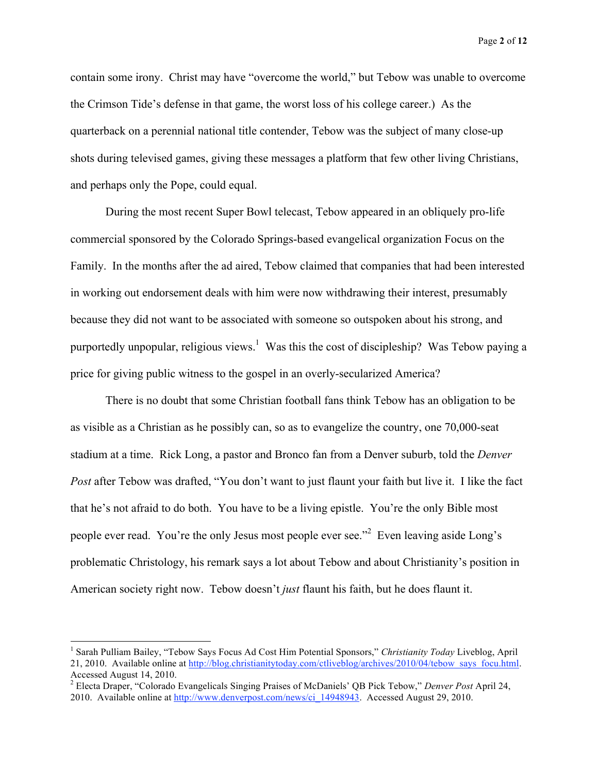contain some irony. Christ may have "overcome the world," but Tebow was unable to overcome the Crimson Tide's defense in that game, the worst loss of his college career.) As the quarterback on a perennial national title contender, Tebow was the subject of many close-up shots during televised games, giving these messages a platform that few other living Christians, and perhaps only the Pope, could equal.

During the most recent Super Bowl telecast, Tebow appeared in an obliquely pro-life commercial sponsored by the Colorado Springs-based evangelical organization Focus on the Family. In the months after the ad aired, Tebow claimed that companies that had been interested in working out endorsement deals with him were now withdrawing their interest, presumably because they did not want to be associated with someone so outspoken about his strong, and purportedly unpopular, religious views.<sup>1</sup> Was this the cost of discipleship? Was Tebow paying a price for giving public witness to the gospel in an overly-secularized America?

There is no doubt that some Christian football fans think Tebow has an obligation to be as visible as a Christian as he possibly can, so as to evangelize the country, one 70,000-seat stadium at a time. Rick Long, a pastor and Bronco fan from a Denver suburb, told the *Denver Post* after Tebow was drafted, "You don't want to just flaunt your faith but live it. I like the fact that he's not afraid to do both. You have to be a living epistle. You're the only Bible most people ever read. You're the only Jesus most people ever see."<sup>2</sup> Even leaving aside Long's problematic Christology, his remark says a lot about Tebow and about Christianity's position in American society right now. Tebow doesn't *just* flaunt his faith, but he does flaunt it.

 $\frac{1}{1}$  Sarah Pulliam Bailey, "Tebow Says Focus Ad Cost Him Potential Sponsors," *Christianity Today* Liveblog, April 21, 2010. Available online at http://blog.christianitytoday.com/ctliveblog/archives/2010/04/tebow\_says\_focu.html. Accessed August 14, 2010.

<sup>2</sup> Electa Draper, "Colorado Evangelicals Singing Praises of McDaniels' QB Pick Tebow," *Denver Post* April 24, 2010. Available online at http://www.denverpost.com/news/ci\_14948943. Accessed August 29, 2010.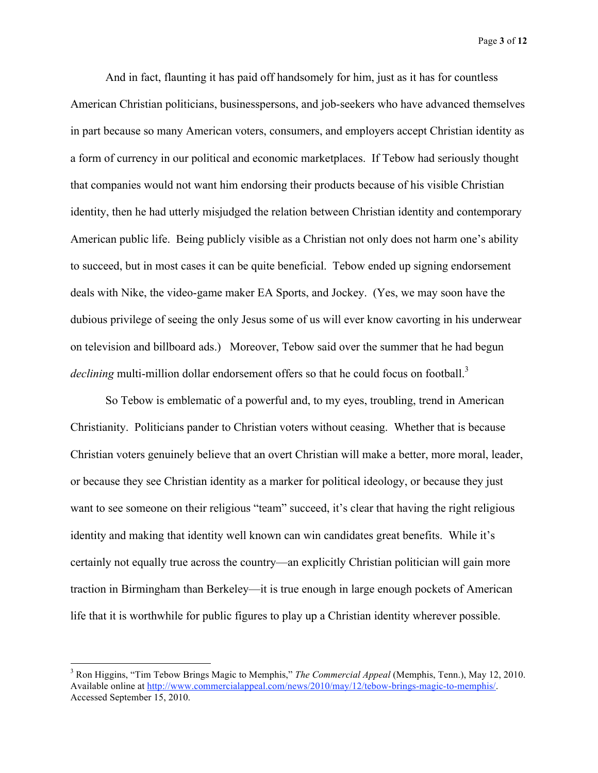Page **3** of **12**

And in fact, flaunting it has paid off handsomely for him, just as it has for countless American Christian politicians, businesspersons, and job-seekers who have advanced themselves in part because so many American voters, consumers, and employers accept Christian identity as a form of currency in our political and economic marketplaces. If Tebow had seriously thought that companies would not want him endorsing their products because of his visible Christian identity, then he had utterly misjudged the relation between Christian identity and contemporary American public life. Being publicly visible as a Christian not only does not harm one's ability to succeed, but in most cases it can be quite beneficial. Tebow ended up signing endorsement deals with Nike, the video-game maker EA Sports, and Jockey. (Yes, we may soon have the dubious privilege of seeing the only Jesus some of us will ever know cavorting in his underwear on television and billboard ads.) Moreover, Tebow said over the summer that he had begun *declining* multi-million dollar endorsement offers so that he could focus on football.<sup>3</sup>

So Tebow is emblematic of a powerful and, to my eyes, troubling, trend in American Christianity. Politicians pander to Christian voters without ceasing. Whether that is because Christian voters genuinely believe that an overt Christian will make a better, more moral, leader, or because they see Christian identity as a marker for political ideology, or because they just want to see someone on their religious "team" succeed, it's clear that having the right religious identity and making that identity well known can win candidates great benefits. While it's certainly not equally true across the country—an explicitly Christian politician will gain more traction in Birmingham than Berkeley—it is true enough in large enough pockets of American life that it is worthwhile for public figures to play up a Christian identity wherever possible.

<sup>&</sup>lt;sup>2</sup><br>3 Ron Higgins, "Tim Tebow Brings Magic to Memphis," *The Commercial Appeal* (Memphis, Tenn.), May 12, 2010. Available online at http://www.commercialappeal.com/news/2010/may/12/tebow-brings-magic-to-memphis/. Accessed September 15, 2010.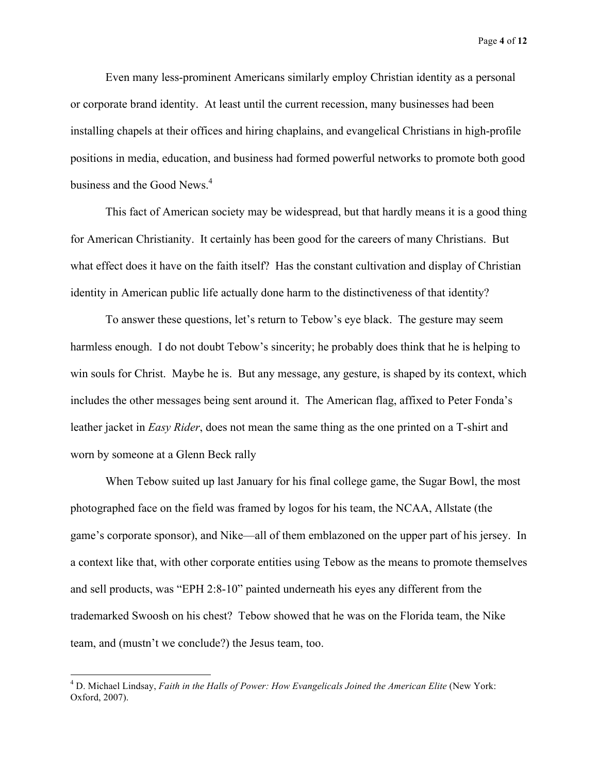Page **4** of **12**

Even many less-prominent Americans similarly employ Christian identity as a personal or corporate brand identity. At least until the current recession, many businesses had been installing chapels at their offices and hiring chaplains, and evangelical Christians in high-profile positions in media, education, and business had formed powerful networks to promote both good business and the Good News.<sup>4</sup>

This fact of American society may be widespread, but that hardly means it is a good thing for American Christianity. It certainly has been good for the careers of many Christians. But what effect does it have on the faith itself? Has the constant cultivation and display of Christian identity in American public life actually done harm to the distinctiveness of that identity?

To answer these questions, let's return to Tebow's eye black. The gesture may seem harmless enough. I do not doubt Tebow's sincerity; he probably does think that he is helping to win souls for Christ. Maybe he is. But any message, any gesture, is shaped by its context, which includes the other messages being sent around it. The American flag, affixed to Peter Fonda's leather jacket in *Easy Rider*, does not mean the same thing as the one printed on a T-shirt and worn by someone at a Glenn Beck rally

When Tebow suited up last January for his final college game, the Sugar Bowl, the most photographed face on the field was framed by logos for his team, the NCAA, Allstate (the game's corporate sponsor), and Nike—all of them emblazoned on the upper part of his jersey. In a context like that, with other corporate entities using Tebow as the means to promote themselves and sell products, was "EPH 2:8-10" painted underneath his eyes any different from the trademarked Swoosh on his chest? Tebow showed that he was on the Florida team, the Nike team, and (mustn't we conclude?) the Jesus team, too.

 $\frac{1}{4}$  D. Michael Lindsay, *Faith in the Halls of Power: How Evangelicals Joined the American Elite* (New York: Oxford, 2007).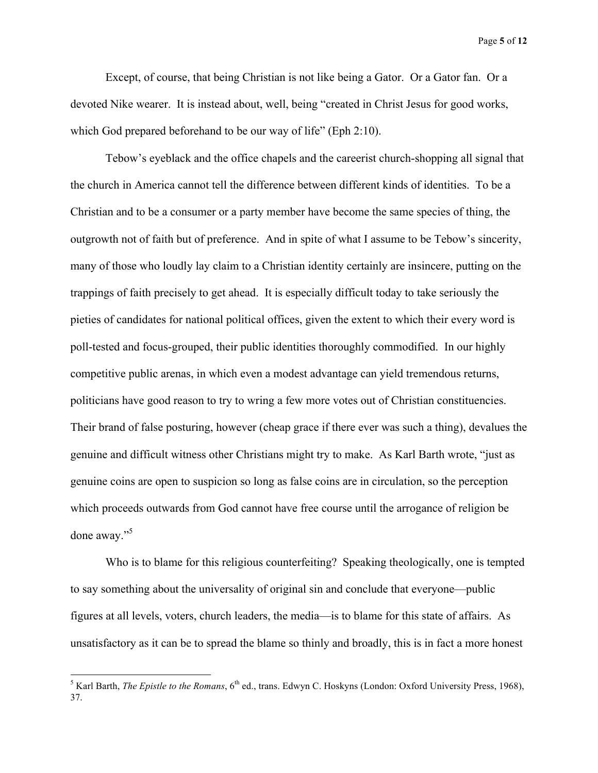Page **5** of **12**

Except, of course, that being Christian is not like being a Gator. Or a Gator fan. Or a devoted Nike wearer. It is instead about, well, being "created in Christ Jesus for good works, which God prepared beforehand to be our way of life" (Eph 2:10).

Tebow's eyeblack and the office chapels and the careerist church-shopping all signal that the church in America cannot tell the difference between different kinds of identities. To be a Christian and to be a consumer or a party member have become the same species of thing, the outgrowth not of faith but of preference. And in spite of what I assume to be Tebow's sincerity, many of those who loudly lay claim to a Christian identity certainly are insincere, putting on the trappings of faith precisely to get ahead. It is especially difficult today to take seriously the pieties of candidates for national political offices, given the extent to which their every word is poll-tested and focus-grouped, their public identities thoroughly commodified. In our highly competitive public arenas, in which even a modest advantage can yield tremendous returns, politicians have good reason to try to wring a few more votes out of Christian constituencies. Their brand of false posturing, however (cheap grace if there ever was such a thing), devalues the genuine and difficult witness other Christians might try to make. As Karl Barth wrote, "just as genuine coins are open to suspicion so long as false coins are in circulation, so the perception which proceeds outwards from God cannot have free course until the arrogance of religion be done away."<sup>5</sup>

Who is to blame for this religious counterfeiting? Speaking theologically, one is tempted to say something about the universality of original sin and conclude that everyone—public figures at all levels, voters, church leaders, the media—is to blame for this state of affairs. As unsatisfactory as it can be to spread the blame so thinly and broadly, this is in fact a more honest

 <sup>5</sup> <sup>5</sup> Karl Barth, *The Epistle to the Romans*, 6<sup>th</sup> ed., trans. Edwyn C. Hoskyns (London: Oxford University Press, 1968), 37.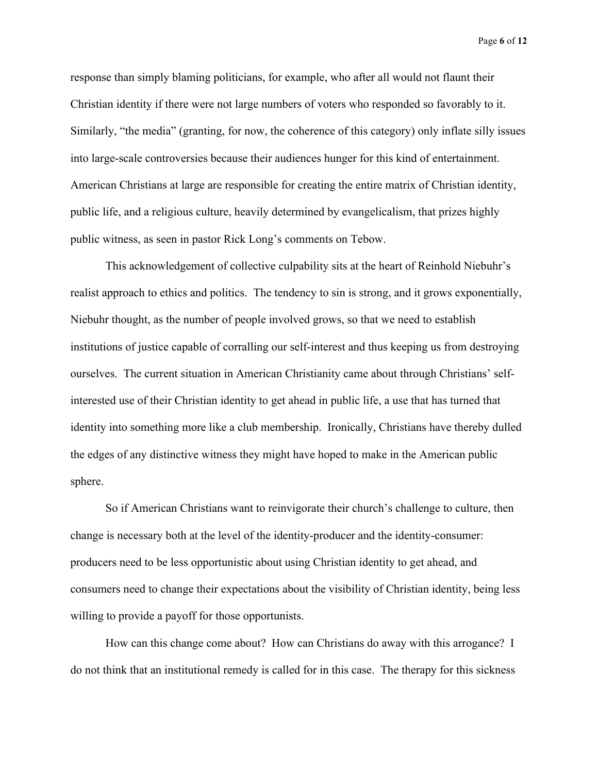Page **6** of **12**

response than simply blaming politicians, for example, who after all would not flaunt their Christian identity if there were not large numbers of voters who responded so favorably to it. Similarly, "the media" (granting, for now, the coherence of this category) only inflate silly issues into large-scale controversies because their audiences hunger for this kind of entertainment. American Christians at large are responsible for creating the entire matrix of Christian identity, public life, and a religious culture, heavily determined by evangelicalism, that prizes highly public witness, as seen in pastor Rick Long's comments on Tebow.

This acknowledgement of collective culpability sits at the heart of Reinhold Niebuhr's realist approach to ethics and politics. The tendency to sin is strong, and it grows exponentially, Niebuhr thought, as the number of people involved grows, so that we need to establish institutions of justice capable of corralling our self-interest and thus keeping us from destroying ourselves. The current situation in American Christianity came about through Christians' selfinterested use of their Christian identity to get ahead in public life, a use that has turned that identity into something more like a club membership. Ironically, Christians have thereby dulled the edges of any distinctive witness they might have hoped to make in the American public sphere.

So if American Christians want to reinvigorate their church's challenge to culture, then change is necessary both at the level of the identity-producer and the identity-consumer: producers need to be less opportunistic about using Christian identity to get ahead, and consumers need to change their expectations about the visibility of Christian identity, being less willing to provide a payoff for those opportunists.

How can this change come about? How can Christians do away with this arrogance? I do not think that an institutional remedy is called for in this case. The therapy for this sickness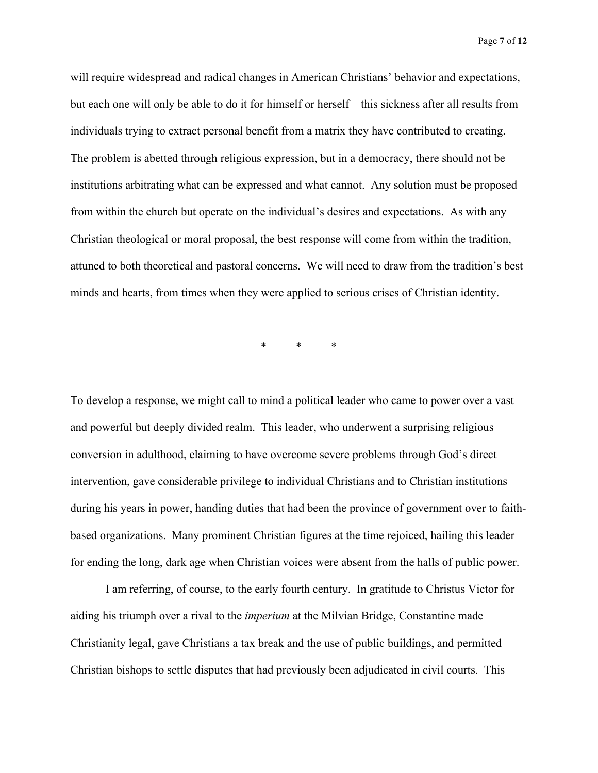Page **7** of **12**

will require widespread and radical changes in American Christians' behavior and expectations, but each one will only be able to do it for himself or herself—this sickness after all results from individuals trying to extract personal benefit from a matrix they have contributed to creating. The problem is abetted through religious expression, but in a democracy, there should not be institutions arbitrating what can be expressed and what cannot. Any solution must be proposed from within the church but operate on the individual's desires and expectations. As with any Christian theological or moral proposal, the best response will come from within the tradition, attuned to both theoretical and pastoral concerns. We will need to draw from the tradition's best minds and hearts, from times when they were applied to serious crises of Christian identity.

\* \* \*

To develop a response, we might call to mind a political leader who came to power over a vast and powerful but deeply divided realm. This leader, who underwent a surprising religious conversion in adulthood, claiming to have overcome severe problems through God's direct intervention, gave considerable privilege to individual Christians and to Christian institutions during his years in power, handing duties that had been the province of government over to faithbased organizations. Many prominent Christian figures at the time rejoiced, hailing this leader for ending the long, dark age when Christian voices were absent from the halls of public power.

I am referring, of course, to the early fourth century. In gratitude to Christus Victor for aiding his triumph over a rival to the *imperium* at the Milvian Bridge, Constantine made Christianity legal, gave Christians a tax break and the use of public buildings, and permitted Christian bishops to settle disputes that had previously been adjudicated in civil courts. This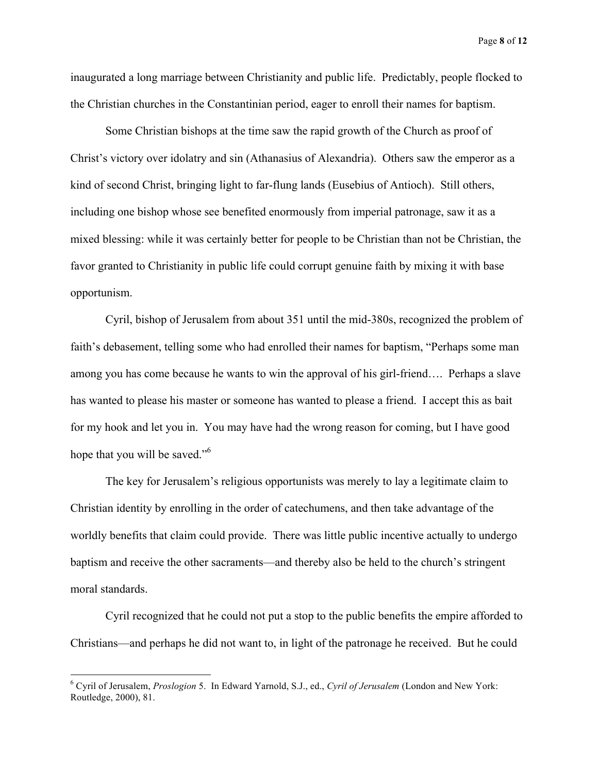Page **8** of **12**

inaugurated a long marriage between Christianity and public life. Predictably, people flocked to the Christian churches in the Constantinian period, eager to enroll their names for baptism.

Some Christian bishops at the time saw the rapid growth of the Church as proof of Christ's victory over idolatry and sin (Athanasius of Alexandria). Others saw the emperor as a kind of second Christ, bringing light to far-flung lands (Eusebius of Antioch). Still others, including one bishop whose see benefited enormously from imperial patronage, saw it as a mixed blessing: while it was certainly better for people to be Christian than not be Christian, the favor granted to Christianity in public life could corrupt genuine faith by mixing it with base opportunism.

Cyril, bishop of Jerusalem from about 351 until the mid-380s, recognized the problem of faith's debasement, telling some who had enrolled their names for baptism, "Perhaps some man among you has come because he wants to win the approval of his girl-friend…. Perhaps a slave has wanted to please his master or someone has wanted to please a friend. I accept this as bait for my hook and let you in. You may have had the wrong reason for coming, but I have good hope that you will be saved."<sup>6</sup>

The key for Jerusalem's religious opportunists was merely to lay a legitimate claim to Christian identity by enrolling in the order of catechumens, and then take advantage of the worldly benefits that claim could provide. There was little public incentive actually to undergo baptism and receive the other sacraments—and thereby also be held to the church's stringent moral standards.

Cyril recognized that he could not put a stop to the public benefits the empire afforded to Christians—and perhaps he did not want to, in light of the patronage he received. But he could

 <sup>6</sup> Cyril of Jerusalem, *Proslogion* 5. In Edward Yarnold, S.J., ed., *Cyril of Jerusalem* (London and New York: Routledge, 2000), 81.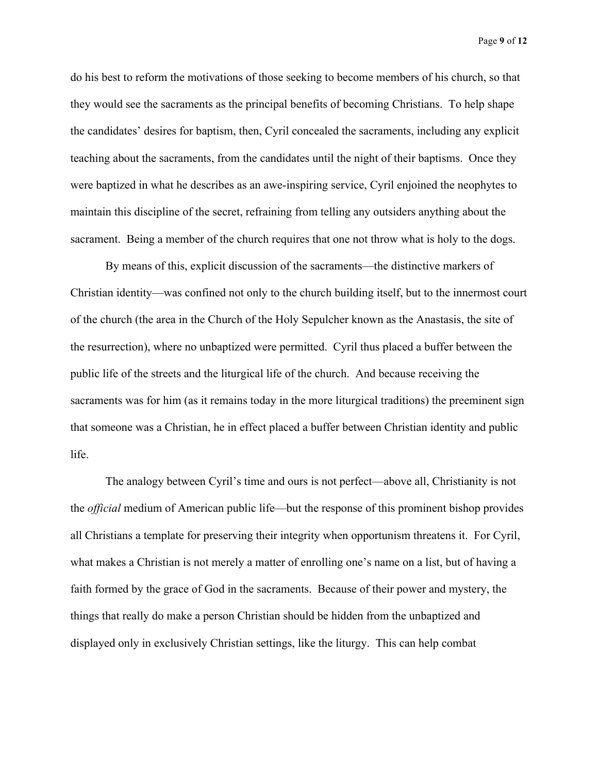Page **9** of **12**

do his best to reform the motivations of those seeking to become members of his church, so that they would see the sacraments as the principal benefits of becoming Christians. To help shape the candidates' desires for baptism, then, Cyril concealed the sacraments, including any explicit teaching about the sacraments, from the candidates until the night of their baptisms. Once they were baptized in what he describes as an awe-inspiring service, Cyril enjoined the neophytes to maintain this discipline of the secret, refraining from telling any outsiders anything about the sacrament. Being a member of the church requires that one not throw what is holy to the dogs.

By means of this, explicit discussion of the sacraments—the distinctive markers of Christian identity—was confined not only to the church building itself, but to the innermost court of the church (the area in the Church of the Holy Sepulcher known as the Anastasis, the site of the resurrection), where no unbaptized were permitted. Cyril thus placed a buffer between the public life of the streets and the liturgical life of the church. And because receiving the sacraments was for him (as it remains today in the more liturgical traditions) the preeminent sign that someone was a Christian, he in effect placed a buffer between Christian identity and public life.

The analogy between Cyril's time and ours is not perfect—above all, Christianity is not the *official* medium of American public life—but the response of this prominent bishop provides all Christians a template for preserving their integrity when opportunism threatens it. For Cyril, what makes a Christian is not merely a matter of enrolling one's name on a list, but of having a faith formed by the grace of God in the sacraments. Because of their power and mystery, the things that really do make a person Christian should be hidden from the unbaptized and displayed only in exclusively Christian settings, like the liturgy. This can help combat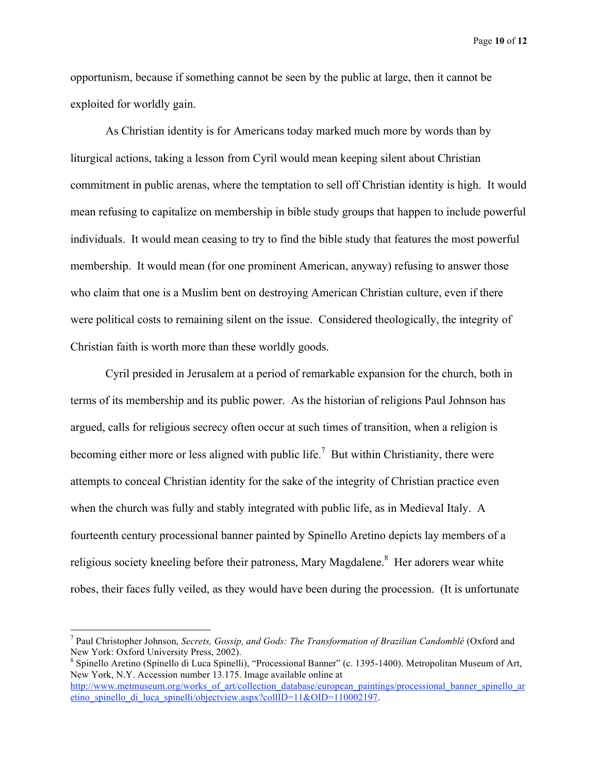Page **10** of **12**

opportunism, because if something cannot be seen by the public at large, then it cannot be exploited for worldly gain.

As Christian identity is for Americans today marked much more by words than by liturgical actions, taking a lesson from Cyril would mean keeping silent about Christian commitment in public arenas, where the temptation to sell off Christian identity is high. It would mean refusing to capitalize on membership in bible study groups that happen to include powerful individuals. It would mean ceasing to try to find the bible study that features the most powerful membership. It would mean (for one prominent American, anyway) refusing to answer those who claim that one is a Muslim bent on destroying American Christian culture, even if there were political costs to remaining silent on the issue. Considered theologically, the integrity of Christian faith is worth more than these worldly goods.

Cyril presided in Jerusalem at a period of remarkable expansion for the church, both in terms of its membership and its public power. As the historian of religions Paul Johnson has argued, calls for religious secrecy often occur at such times of transition, when a religion is becoming either more or less aligned with public life.<sup>7</sup> But within Christianity, there were attempts to conceal Christian identity for the sake of the integrity of Christian practice even when the church was fully and stably integrated with public life, as in Medieval Italy. A fourteenth century processional banner painted by Spinello Aretino depicts lay members of a religious society kneeling before their patroness, Mary Magdalene.<sup>8</sup> Her adorers wear white robes, their faces fully veiled, as they would have been during the procession. (It is unfortunate

<sup>-&</sup>lt;br>7 Paul Christopher Johnson, *Secrets, Gossip, and Gods: The Transformation of Brazilian Candomblé* (Oxford and New York: Oxford University Press, 2002).

Spinello Aretino (Spinello di Luca Spinelli), "Processional Banner" (c. 1395-1400). Metropolitan Museum of Art, New York, N.Y. Accession number 13.175. Image available online at http://www.metmuseum.org/works\_of\_art/collection\_database/european\_paintings/processional\_banner\_spinello\_ar etino spinello di luca spinelli/objectview.aspx?collID=11&OID=110002197.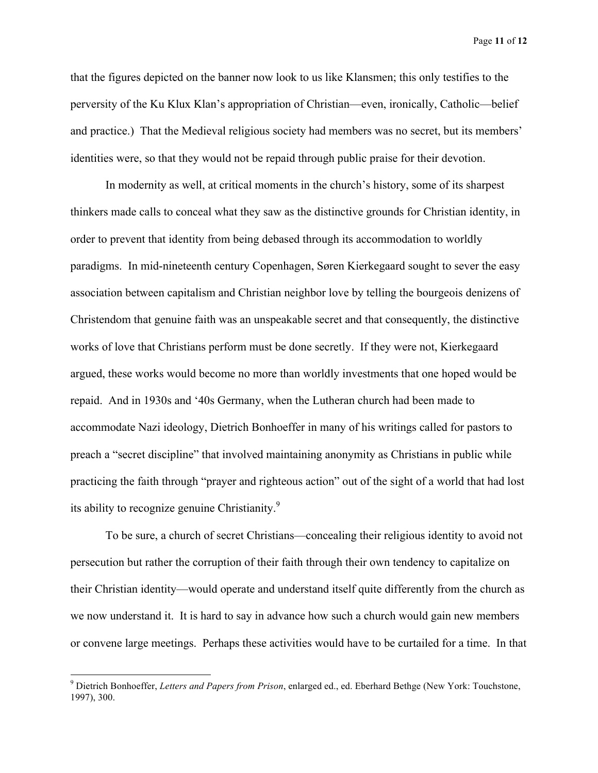Page **11** of **12**

that the figures depicted on the banner now look to us like Klansmen; this only testifies to the perversity of the Ku Klux Klan's appropriation of Christian—even, ironically, Catholic—belief and practice.) That the Medieval religious society had members was no secret, but its members' identities were, so that they would not be repaid through public praise for their devotion.

In modernity as well, at critical moments in the church's history, some of its sharpest thinkers made calls to conceal what they saw as the distinctive grounds for Christian identity, in order to prevent that identity from being debased through its accommodation to worldly paradigms. In mid-nineteenth century Copenhagen, Søren Kierkegaard sought to sever the easy association between capitalism and Christian neighbor love by telling the bourgeois denizens of Christendom that genuine faith was an unspeakable secret and that consequently, the distinctive works of love that Christians perform must be done secretly. If they were not, Kierkegaard argued, these works would become no more than worldly investments that one hoped would be repaid. And in 1930s and '40s Germany, when the Lutheran church had been made to accommodate Nazi ideology, Dietrich Bonhoeffer in many of his writings called for pastors to preach a "secret discipline" that involved maintaining anonymity as Christians in public while practicing the faith through "prayer and righteous action" out of the sight of a world that had lost its ability to recognize genuine Christianity.<sup>9</sup>

To be sure, a church of secret Christians—concealing their religious identity to avoid not persecution but rather the corruption of their faith through their own tendency to capitalize on their Christian identity—would operate and understand itself quite differently from the church as we now understand it. It is hard to say in advance how such a church would gain new members or convene large meetings. Perhaps these activities would have to be curtailed for a time. In that

<sup>-&</sup>lt;br>9 Dietrich Bonhoeffer, *Letters and Papers from Prison*, enlarged ed., ed. Eberhard Bethge (New York: Touchstone, 1997), 300.